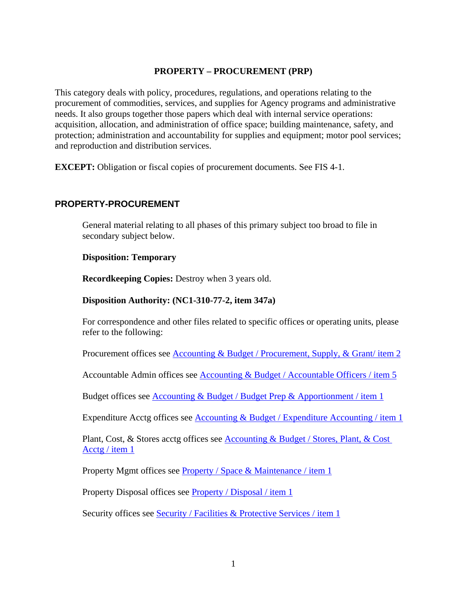### **PROPERTY – PROCUREMENT (PRP)**

This category deals with policy, procedures, regulations, and operations relating to the procurement of commodities, services, and supplies for Agency programs and administrative needs. It also groups together those papers which deal with internal service operations: acquisition, allocation, and administration of office space; building maintenance, safety, and protection; administration and accountability for supplies and equipment; motor pool services; and reproduction and distribution services.

**EXCEPT:** Obligation or fiscal copies of procurement documents. See FIS 4-1.

### **PROPERTY-PROCUREMENT**

General material relating to all phases of this primary subject too broad to file in secondary subject below.

#### **Disposition: Temporary**

**Recordkeeping Copies:** Destroy when 3 years old.

#### **Disposition Authority: (NC1-310-77-2, item 347a)**

For correspondence and other files related to specific offices or operating units, please refer to the following:

Procurement offices see Accounting & Budget / Procurement, Supply, & Grant/ item 2

Accountable Admin offices see Accounting & Budget / Accountable Officers / item 5

Budget offices see Accounting & Budget / Budget Prep & Apportionment / item 1

Expenditure Acctg offices see Accounting & Budget / Expenditure Accounting / item 1

Plant, Cost, & Stores acctg offices see Accounting & Budget / Stores, Plant, & Cost Acctg / item 1

Property Mgmt offices see Property / Space & Maintenance / item 1

Property Disposal offices see Property / Disposal / item 1

Security offices see Security / Facilities & Protective Services / item 1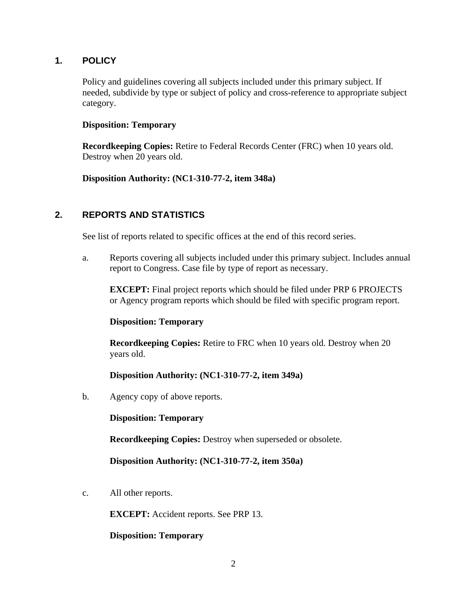## **1. POLICY**

Policy and guidelines covering all subjects included under this primary subject. If needed, subdivide by type or subject of policy and cross-reference to appropriate subject category.

#### **Disposition: Temporary**

**Recordkeeping Copies:** Retire to Federal Records Center (FRC) when 10 years old. Destroy when 20 years old.

**Disposition Authority: (NC1-310-77-2, item 348a)** 

## **2. REPORTS AND STATISTICS**

See list of reports related to specific offices at the end of this record series.

a. Reports covering all subjects included under this primary subject. Includes annual report to Congress. Case file by type of report as necessary.

**EXCEPT:** Final project reports which should be filed under PRP 6 PROJECTS or Agency program reports which should be filed with specific program report.

#### **Disposition: Temporary**

**Recordkeeping Copies:** Retire to FRC when 10 years old. Destroy when 20 years old.

## **Disposition Authority: (NC1-310-77-2, item 349a)**

b. Agency copy of above reports.

**Disposition: Temporary** 

**Recordkeeping Copies:** Destroy when superseded or obsolete.

**Disposition Authority: (NC1-310-77-2, item 350a)** 

c. All other reports.

**EXCEPT:** Accident reports. See PRP 13.

**Disposition: Temporary**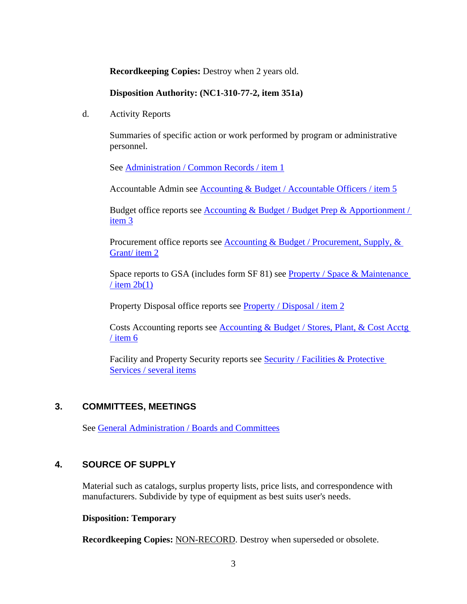**Recordkeeping Copies:** Destroy when 2 years old.

### **Disposition Authority: (NC1-310-77-2, item 351a)**

d. Activity Reports

Summaries of specific action or work performed by program or administrative personnel.

See Administration / Common Records / item 1

Accountable Admin see Accounting & Budget / Accountable Officers / item 5

Budget office reports see Accounting & Budget / Budget Prep & Apportionment / item 3

Procurement office reports see Accounting & Budget / Procurement, Supply, & Grant/ item 2

Space reports to GSA (includes form SF 81) see Property / Space & Maintenance  $/$  item 2b(1)

Property Disposal office reports see Property / Disposal / item 2

Costs Accounting reports see Accounting & Budget / Stores, Plant, & Cost Acctg / item 6

Facility and Property Security reports see Security / Facilities & Protective Services / several items

# **3. COMMITTEES, MEETINGS**

See [General Administration / Boards and Committees](http://inside.aphis.usda.gov/mrpbs/records/general_administration.shtml)

## **4. SOURCE OF SUPPLY**

Material such as catalogs, surplus property lists, price lists, and correspondence with manufacturers. Subdivide by type of equipment as best suits user's needs.

#### **Disposition: Temporary**

**Recordkeeping Copies:** NON-RECORD. Destroy when superseded or obsolete.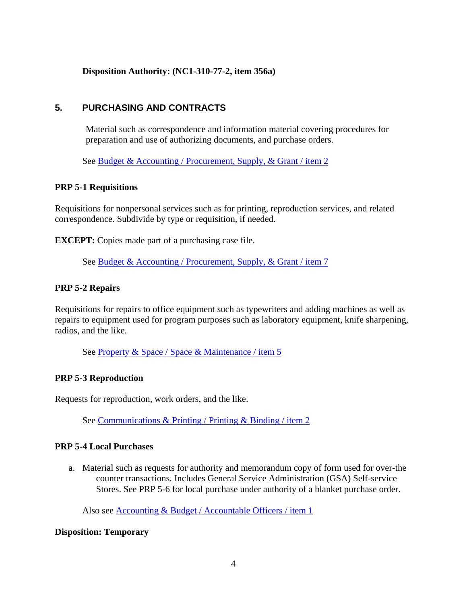**Disposition Authority: (NC1-310-77-2, item 356a)** 

## **5. PURCHASING AND CONTRACTS**

Material such as correspondence and information material covering procedures for preparation and use of authorizing documents, and purchase orders.

See Budget & Accounting / Procurement, Supply, & Grant / item 2

#### **PRP 5-1 Requisitions**

Requisitions for nonpersonal services such as for printing, reproduction services, and related correspondence. Subdivide by type or requisition, if needed.

**EXCEPT:** Copies made part of a purchasing case file.

See Budget & Accounting / Procurement, Supply, & Grant / item 7

### **PRP 5-2 Repairs**

Requisitions for repairs to office equipment such as typewriters and adding machines as well as repairs to equipment used for program purposes such as laboratory equipment, knife sharpening, radios, and the like.

See Property & Space / Space & Maintenance / item 5

#### **PRP 5-3 Reproduction**

Requests for reproduction, work orders, and the like.

See Communications & Printing / Printing & Binding / item 2

#### **PRP 5-4 Local Purchases**

a. Material such as requests for authority and memorandum copy of form used for over-the counter transactions. Includes General Service Administration (GSA) Self-service Stores. See PRP 5-6 for local purchase under authority of a blanket purchase order.

Also see Accounting & Budget / Accountable Officers / item 1

#### **Disposition: Temporary**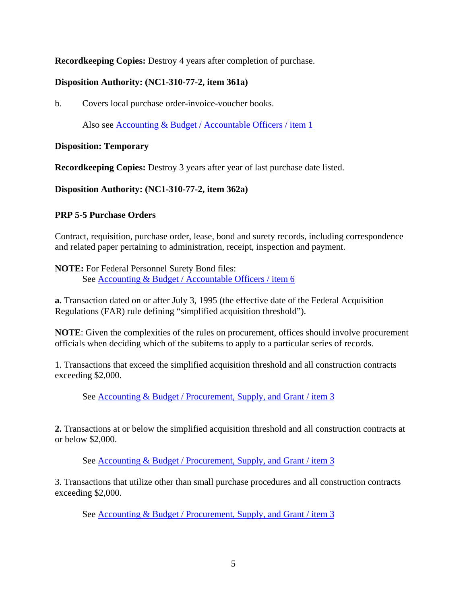**Recordkeeping Copies:** Destroy 4 years after completion of purchase.

# **Disposition Authority: (NC1-310-77-2, item 361a)**

b. Covers local purchase order-invoice-voucher books.

Also see Accounting & Budget / Accountable Officers / item 1

## **Disposition: Temporary**

**Recordkeeping Copies:** Destroy 3 years after year of last purchase date listed.

**Disposition Authority: (NC1-310-77-2, item 362a)** 

## **PRP 5-5 Purchase Orders**

Contract, requisition, purchase order, lease, bond and surety records, including correspondence and related paper pertaining to administration, receipt, inspection and payment.

**NOTE:** For Federal Personnel Surety Bond files: See Accounting & Budget / Accountable Officers / item 6

**a.** Transaction dated on or after July 3, 1995 (the effective date of the Federal Acquisition Regulations (FAR) rule defining "simplified acquisition threshold").

**NOTE**: Given the complexities of the rules on procurement, offices should involve procurement officials when deciding which of the subitems to apply to a particular series of records.

1. Transactions that exceed the simplified acquisition threshold and all construction contracts exceeding \$2,000.

See Accounting & Budget / Procurement, Supply, and Grant / item 3

**2.** Transactions at or below the simplified acquisition threshold and all construction contracts at or below \$2,000.

See Accounting & Budget / Procurement, Supply, and Grant / item 3

3. Transactions that utilize other than small purchase procedures and all construction contracts exceeding \$2,000.

See Accounting & Budget / Procurement, Supply, and Grant / item 3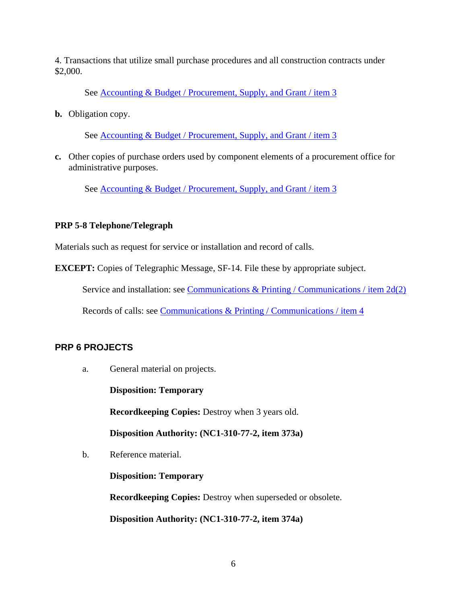4. Transactions that utilize small purchase procedures and all construction contracts under \$2,000.

See Accounting & Budget / Procurement, Supply, and Grant / item 3

**b.** Obligation copy.

See <u>Accounting & Budget / Procurement, Supply, and Grant / item 3</u>

**c.** Other copies of purchase orders used by component elements of a procurement office for administrative purposes.

See Accounting & Budget / Procurement, Supply, and Grant / item 3

### **PRP 5-8 Telephone/Telegraph**

Materials such as request for service or installation and record of calls.

**EXCEPT:** Copies of Telegraphic Message, SF-14. File these by appropriate subject.

Service and installation: see Communications & Printing / Communications / item 2d(2)

Records of calls: see Communications & Printing / Communications / item 4

## **PRP 6 PROJECTS**

a. General material on projects.

**Disposition: Temporary** 

**Recordkeeping Copies:** Destroy when 3 years old.

**Disposition Authority: (NC1-310-77-2, item 373a)** 

b. Reference material.

**Disposition: Temporary** 

**Recordkeeping Copies:** Destroy when superseded or obsolete.

**Disposition Authority: (NC1-310-77-2, item 374a)**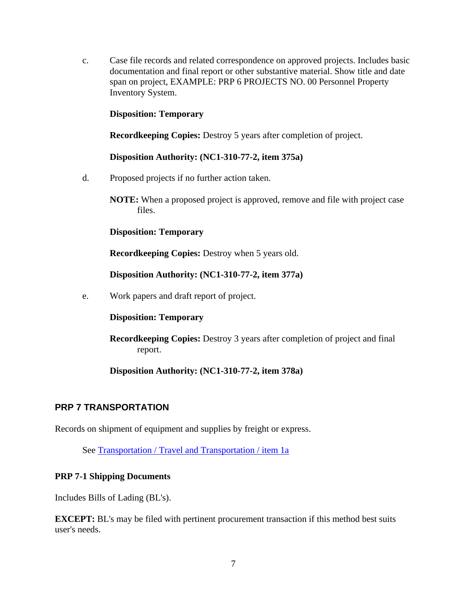c. Case file records and related correspondence on approved projects. Includes basic documentation and final report or other substantive material. Show title and date span on project, EXAMPLE: PRP 6 PROJECTS NO. 00 Personnel Property Inventory System.

#### **Disposition: Temporary**

**Recordkeeping Copies:** Destroy 5 years after completion of project.

**Disposition Authority: (NC1-310-77-2, item 375a)** 

d. Proposed projects if no further action taken.

**NOTE:** When a proposed project is approved, remove and file with project case files.

**Disposition: Temporary** 

**Recordkeeping Copies: Destroy when 5 years old.** 

**Disposition Authority: (NC1-310-77-2, item 377a)** 

e. Work papers and draft report of project.

**Disposition: Temporary** 

**Recordkeeping Copies:** Destroy 3 years after completion of project and final report.

**Disposition Authority: (NC1-310-77-2, item 378a)** 

#### **PRP 7 TRANSPORTATION**

Records on shipment of equipment and supplies by freight or express.

See Transportation / Travel and Transportation / item 1a

#### **PRP 7-1 Shipping Documents**

Includes Bills of Lading (BL's).

**EXCEPT:** BL's may be filed with pertinent procurement transaction if this method best suits user's needs.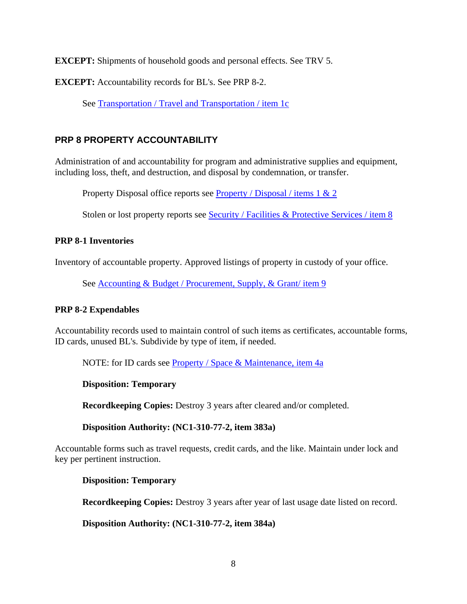**EXCEPT:** Shipments of household goods and personal effects. See TRV 5.

**EXCEPT:** Accountability records for BL's. See PRP 8-2.

See Transportation / Travel and Transportation / item 1c

# **PRP 8 PROPERTY ACCOUNTABILITY**

Administration of and accountability for program and administrative supplies and equipment, including loss, theft, and destruction, and disposal by condemnation, or transfer.

Property Disposal office reports see **Property** / Disposal / items 1 & 2

Stolen or lost property reports see Security / Facilities & Protective Services / item 8

### **PRP 8-1 Inventories**

Inventory of accountable property. Approved listings of property in custody of your office.

See **Accounting & Budget / Procurement, Supply, & Grant/ item 9** 

#### **PRP 8-2 Expendables**

Accountability records used to maintain control of such items as certificates, accountable forms, ID cards, unused BL's. Subdivide by type of item, if needed.

NOTE: for ID cards see [Property / Space & Maintenance, item 4a](http://inside.aphis.usda.gov/mrpbs/records/downloads/space.pdf)

#### **Disposition: Temporary**

**Recordkeeping Copies:** Destroy 3 years after cleared and/or completed.

#### **Disposition Authority: (NC1-310-77-2, item 383a)**

Accountable forms such as travel requests, credit cards, and the like. Maintain under lock and key per pertinent instruction.

**Disposition: Temporary** 

**Recordkeeping Copies:** Destroy 3 years after year of last usage date listed on record.

**Disposition Authority: (NC1-310-77-2, item 384a)**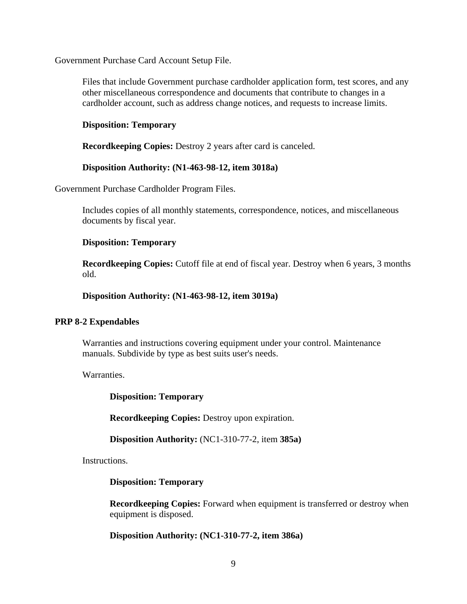Government Purchase Card Account Setup File.

Files that include Government purchase cardholder application form, test scores, and any other miscellaneous correspondence and documents that contribute to changes in a cardholder account, such as address change notices, and requests to increase limits.

#### **Disposition: Temporary**

**Recordkeeping Copies:** Destroy 2 years after card is canceled.

#### **Disposition Authority: (N1-463-98-12, item 3018a)**

Government Purchase Cardholder Program Files.

Includes copies of all monthly statements, correspondence, notices, and miscellaneous documents by fiscal year.

#### **Disposition: Temporary**

**Recordkeeping Copies:** Cutoff file at end of fiscal year. Destroy when 6 years, 3 months old.

**Disposition Authority: (N1-463-98-12, item 3019a)** 

#### **PRP 8-2 Expendables**

Warranties and instructions covering equipment under your control. Maintenance manuals. Subdivide by type as best suits user's needs.

Warranties.

**Disposition: Temporary** 

**Recordkeeping Copies:** Destroy upon expiration.

**Disposition Authority:** (NC1-310-77-2, item **385a)** 

Instructions.

#### **Disposition: Temporary**

**Recordkeeping Copies:** Forward when equipment is transferred or destroy when equipment is disposed.

**Disposition Authority: (NC1-310-77-2, item 386a)**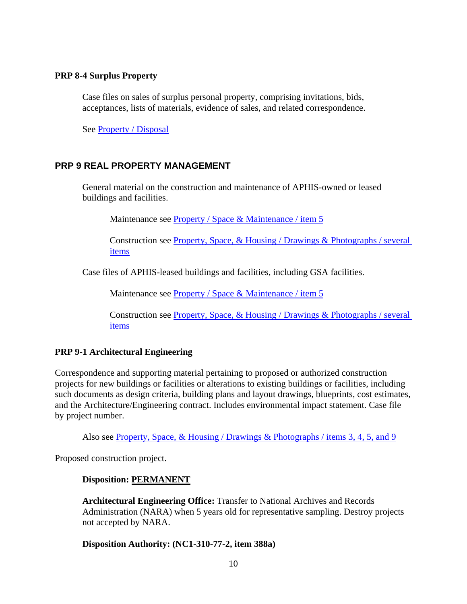#### **PRP 8-4 Surplus Property**

Case files on sales of surplus personal property, comprising invitations, bids, acceptances, lists of materials, evidence of sales, and related correspondence.

See Property / Disposal

### **PRP 9 REAL PROPERTY MANAGEMENT**

General material on the construction and maintenance of APHIS-owned or leased buildings and facilities.

Maintenance see Property / Space & Maintenance / item 5

Construction see Property, Space, & Housing / Drawings & Photographs / several items

Case files of APHIS-leased buildings and facilities, including GSA facilities.

Maintenance see Property / Space & Maintenance / item 5

Construction see Property, Space, & Housing / Drawings & Photographs / several items

#### **PRP 9-1 Architectural Engineering**

Correspondence and supporting material pertaining to proposed or authorized construction projects for new buildings or facilities or alterations to existing buildings or facilities, including such documents as design criteria, building plans and layout drawings, blueprints, cost estimates, and the Architecture/Engineering contract. Includes environmental impact statement. Case file by project number.

Also see Property, Space, & Housing / Drawings & Photographs / items 3, 4, 5, and 9

Proposed construction project.

#### **Disposition: PERMANENT**

**Architectural Engineering Office:** Transfer to National Archives and Records Administration (NARA) when 5 years old for representative sampling. Destroy projects not accepted by NARA.

#### **Disposition Authority: (NC1-310-77-2, item 388a)**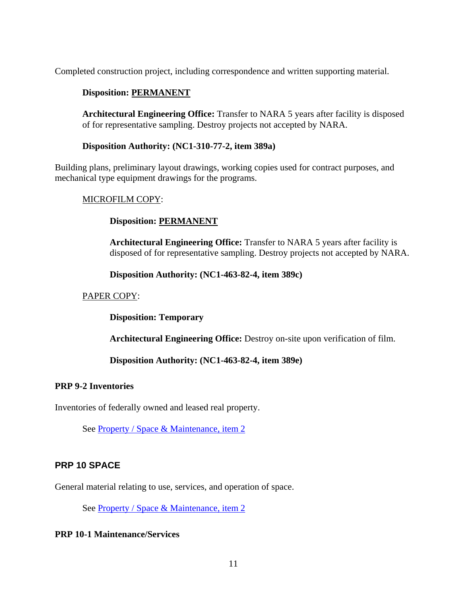Completed construction project, including correspondence and written supporting material.

### **Disposition: PERMANENT**

**Architectural Engineering Office:** Transfer to NARA 5 years after facility is disposed of for representative sampling. Destroy projects not accepted by NARA.

#### **Disposition Authority: (NC1-310-77-2, item 389a)**

Building plans, preliminary layout drawings, working copies used for contract purposes, and mechanical type equipment drawings for the programs.

#### MICROFILM COPY:

### **Disposition: PERMANENT**

**Architectural Engineering Office:** Transfer to NARA 5 years after facility is disposed of for representative sampling. Destroy projects not accepted by NARA.

**Disposition Authority: (NC1-463-82-4, item 389c)** 

### PAPER COPY:

**Disposition: Temporary** 

**Architectural Engineering Office:** Destroy on-site upon verification of film.

**Disposition Authority: (NC1-463-82-4, item 389e)** 

#### **PRP 9-2 Inventories**

Inventories of federally owned and leased real property.

See [Property / Space & Maintenance, item 2](http://inside.aphis.usda.gov/mrpbs/records/downloads/space.pdf)

## **PRP 10 SPACE**

General material relating to use, services, and operation of space.

See [Property / Space & Maintenance, item 2](http://inside.aphis.usda.gov/mrpbs/records/downloads/space.pdf)

#### **PRP 10-1 Maintenance/Services**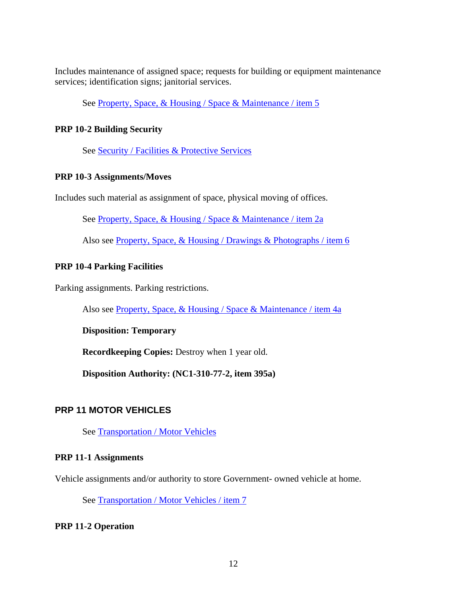Includes maintenance of assigned space; requests for building or equipment maintenance services; identification signs; janitorial services.

See Property, Space, & Housing / Space & Maintenance / item 5

#### **PRP 10-2 Building Security**

See Security / Facilities & Protective Services

#### **PRP 10-3 Assignments/Moves**

Includes such material as assignment of space, physical moving of offices.

See Property, Space, & Housing / Space & Maintenance / item 2a

Also see Property, Space, & Housing / Drawings & Photographs / item 6

## **PRP 10-4 Parking Facilities**

Parking assignments. Parking restrictions.

Also see Property, Space, & Housing / Space & Maintenance / item 4a

#### **Disposition: Temporary**

**Recordkeeping Copies:** Destroy when 1 year old.

**Disposition Authority: (NC1-310-77-2, item 395a)** 

# **PRP 11 MOTOR VEHICLES**

See Transportation / Motor Vehicles

#### **PRP 11-1 Assignments**

Vehicle assignments and/or authority to store Government- owned vehicle at home.

See Transportation / Motor Vehicles / item 7

#### **PRP 11-2 Operation**